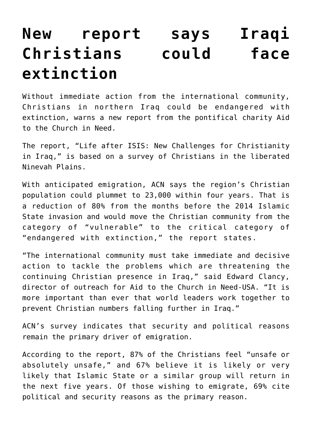## **[New report says Iraqi](https://www.osvnews.com/2020/07/08/new-report-says-iraqi-christians-could-face-extinction/) [Christians could face](https://www.osvnews.com/2020/07/08/new-report-says-iraqi-christians-could-face-extinction/) [extinction](https://www.osvnews.com/2020/07/08/new-report-says-iraqi-christians-could-face-extinction/)**

Without immediate action from the international community, Christians in northern Iraq could be endangered with extinction, warns a new report from the pontifical charity Aid to the Church in Need.

The report, "Life after ISIS: New Challenges for Christianity in Iraq," is based on a survey of Christians in the liberated Ninevah Plains.

With anticipated emigration, ACN says the region's Christian population could plummet to 23,000 within four years. That is a reduction of 80% from the months before the 2014 Islamic State invasion and would move the Christian community from the category of "vulnerable" to the critical category of "endangered with extinction," the report states.

"The international community must take immediate and decisive action to tackle the problems which are threatening the continuing Christian presence in Iraq," said Edward Clancy, director of outreach for Aid to the Church in Need-USA. "It is more important than ever that world leaders work together to prevent Christian numbers falling further in Iraq."

ACN's survey indicates that security and political reasons remain the primary driver of emigration.

According to the report, 87% of the Christians feel "unsafe or absolutely unsafe," and 67% believe it is likely or very likely that Islamic State or a similar group will return in the next five years. Of those wishing to emigrate, 69% cite political and security reasons as the primary reason.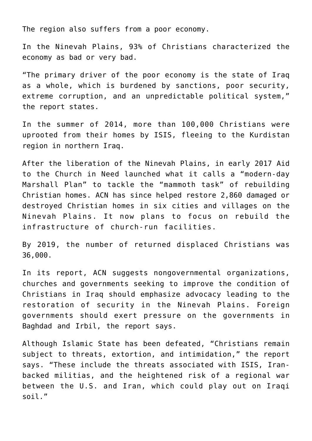The region also suffers from a poor economy.

In the Ninevah Plains, 93% of Christians characterized the economy as bad or very bad.

"The primary driver of the poor economy is the state of Iraq as a whole, which is burdened by sanctions, poor security, extreme corruption, and an unpredictable political system," the report states.

In the summer of 2014, more than 100,000 Christians were uprooted from their homes by ISIS, fleeing to the Kurdistan region in northern Iraq.

After the liberation of the Ninevah Plains, in early 2017 Aid to the Church in Need launched what it calls a "modern-day Marshall Plan" to tackle the "mammoth task" of rebuilding Christian homes. ACN has since helped restore 2,860 damaged or destroyed Christian homes in six cities and villages on the Ninevah Plains. It now plans to focus on rebuild the infrastructure of church-run facilities.

By 2019, the number of returned displaced Christians was 36,000.

In its report, ACN suggests nongovernmental organizations, churches and governments seeking to improve the condition of Christians in Iraq should emphasize advocacy leading to the restoration of security in the Ninevah Plains. Foreign governments should exert pressure on the governments in Baghdad and Irbil, the report says.

Although Islamic State has been defeated, "Christians remain subject to threats, extortion, and intimidation," the report says. "These include the threats associated with ISIS, Iranbacked militias, and the heightened risk of a regional war between the U.S. and Iran, which could play out on Iraqi soil."